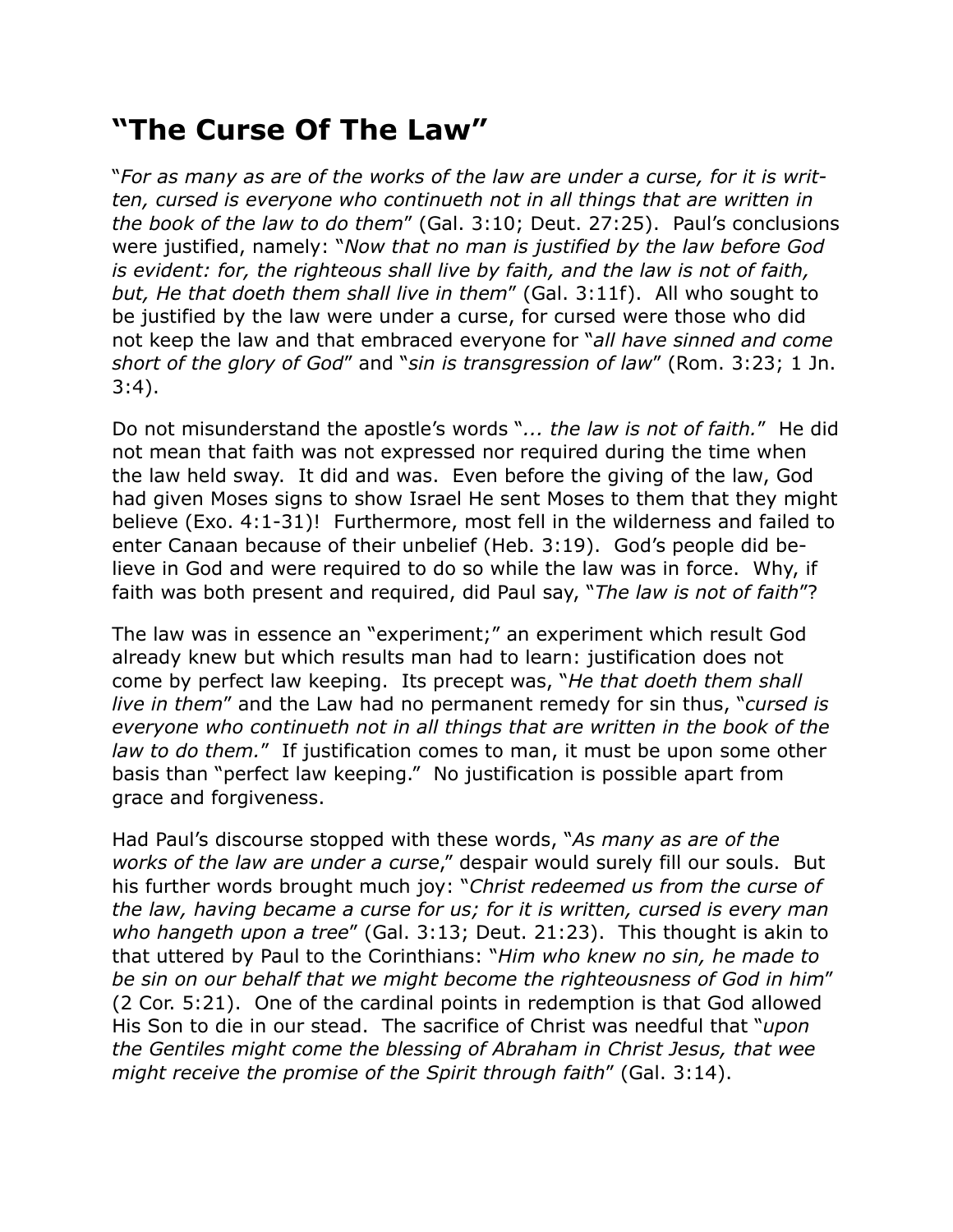## **"The Curse Of The Law"**

"*For as many as are of the works of the law are under a curse, for it is written, cursed is everyone who continueth not in all things that are written in the book of the law to do them*" (Gal. 3:10; Deut. 27:25). Paul's conclusions were justified, namely: "*Now that no man is justified by the law before God is evident: for, the righteous shall live by faith, and the law is not of faith, but, He that doeth them shall live in them*" (Gal. 3:11f). All who sought to be justified by the law were under a curse, for cursed were those who did not keep the law and that embraced everyone for "*all have sinned and come short of the glory of God*" and "*sin is transgression of law*" (Rom. 3:23; 1 Jn. 3:4).

Do not misunderstand the apostle's words "*... the law is not of faith.*" He did not mean that faith was not expressed nor required during the time when the law held sway. It did and was. Even before the giving of the law, God had given Moses signs to show Israel He sent Moses to them that they might believe (Exo. 4:1-31)! Furthermore, most fell in the wilderness and failed to enter Canaan because of their unbelief (Heb. 3:19). God's people did believe in God and were required to do so while the law was in force. Why, if faith was both present and required, did Paul say, "*The law is not of faith*"?

The law was in essence an "experiment;" an experiment which result God already knew but which results man had to learn: justification does not come by perfect law keeping. Its precept was, "*He that doeth them shall live in them*" and the Law had no permanent remedy for sin thus, "*cursed is everyone who continueth not in all things that are written in the book of the law to do them.*" If justification comes to man, it must be upon some other basis than "perfect law keeping." No justification is possible apart from grace and forgiveness.

Had Paul's discourse stopped with these words, "*As many as are of the works of the law are under a curse*," despair would surely fill our souls. But his further words brought much joy: "*Christ redeemed us from the curse of the law, having became a curse for us; for it is written, cursed is every man who hangeth upon a tree*" (Gal. 3:13; Deut. 21:23). This thought is akin to that uttered by Paul to the Corinthians: "*Him who knew no sin, he made to be sin on our behalf that we might become the righteousness of God in him*" (2 Cor. 5:21). One of the cardinal points in redemption is that God allowed His Son to die in our stead. The sacrifice of Christ was needful that "*upon the Gentiles might come the blessing of Abraham in Christ Jesus, that wee might receive the promise of the Spirit through faith*" (Gal. 3:14).